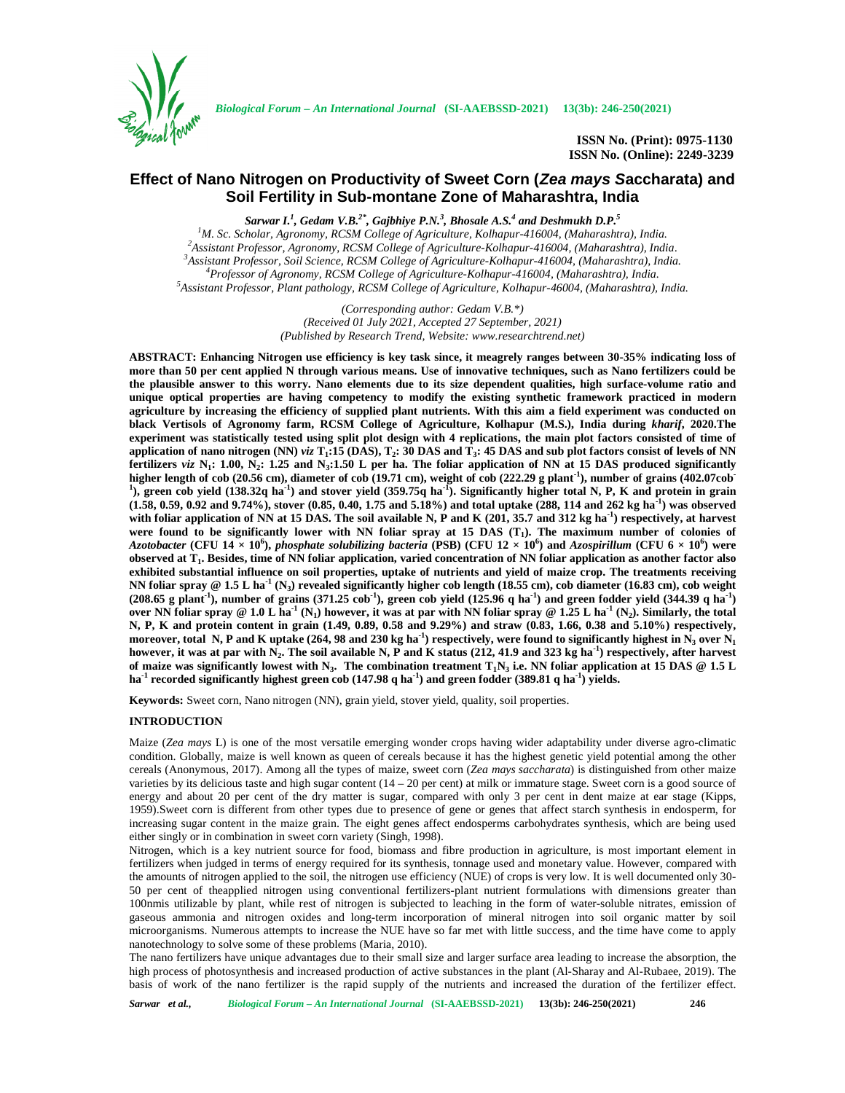

**ISSN No. (Print): 0975-1130 ISSN No. (Online): 2249-3239**

# **Effect of Nano Nitrogen on Productivity of Sweet Corn (***Zea mays S***accharata) and Soil Fertility in Sub-montane Zone of Maharashtra, India**

*Sarwar I.<sup>1</sup> , Gedam V.B.2\*, Gajbhiye P.N.<sup>3</sup> , Bhosale A.S.<sup>4</sup> and Deshmukh D.P.<sup>5</sup>* <sup>1</sup>M. Sc. Scholar, Agronomy, RCSM College of Agriculture, Kolhapur-416004, (Maharashtra), India.<br><sup>2</sup>Assistant Professor, Agronomy, RCSM College of Agriculture-Kolhapur-416004, (Maharashtra), India.<br><sup>3</sup>Assistant Professor,

> *(Corresponding author: Gedam V.B.\*) (Received 01 July 2021, Accepted 27 September, 2021) (Published by Research Trend, Website: <www.researchtrend.net>)*

**ABSTRACT: Enhancing Nitrogen use efficiency is key task since, it meagrely ranges between 30-35% indicating loss of more than 50 per cent applied N through various means. Use of innovative techniques, such as Nano fertilizers could be the plausible answer to this worry. Nano elements due to its size dependent qualities, high surface-volume ratio and unique optical properties are having competency to modify the existing synthetic framework practiced in modern agriculture by increasing the efficiency of supplied plant nutrients. With this aim a field experiment was conducted on black Vertisols of Agronomy farm, RCSM College of Agriculture, Kolhapur (M.S.), India during** *kharif***, 2020.The experiment was statistically tested using split plot design with 4 replications, the main plot factors consisted of time of application of nano nitrogen (NN)** *viz* **T<sup>1</sup> :15 (DAS), T<sup>2</sup> : 30 DAS and T<sup>3</sup> : 45 DAS and sub plot factors consist of levels of NN fertilizers** *viz* **N<sup>1</sup> : 1.00, N<sup>2</sup> : 1.25 and N<sup>3</sup> :1.50 L per ha. The foliar application of NN at 15 DAS produced significantly higher length of cob (20.56 cm), diameter of cob (19.71 cm), weight of cob (222.29 g plant<sup>-1</sup>), number of grains (402.07cob<sup>-1</sup>), are considered at**  $\frac{1}{2}$  **and**  $\frac{1}{2}$  **and**  $\frac{1}{2}$  **and**  $\frac{1}{2}$  **and**  $\frac{1}{2}$  **and ), green cob yield (138.32q ha-1 ) and stover yield (359.75q ha-1 ). Significantly higher total N, P, K and protein in grain (1.58, 0.59, 0.92 and 9.74%), stover (0.85, 0.40, 1.75 and 5.18%) and total uptake (288, 114 and 262 kg ha-1 ) was observed with foliar application of NN at 15 DAS. The soil available N, P and K (201, 35.7 and 312 kg ha-1 ) respectively, at harvest were found to be significantly lower with NN foliar spray at 15 DAS (T<sup>1</sup> ). The maximum number of colonies of** *Azotobacter* **(CFU 14 × 10<sup>6</sup> ),** *phosphate solubilizing bacteria* **(PSB) (CFU 12 × 10<sup>6</sup> ) and** *Azospirillum* **(CFU 6 × 10<sup>6</sup> ) were observed at T<sup>1</sup> . Besides, time of NN foliar application, varied concentration of NN foliar application as another factor also exhibited substantial influence on soil properties, uptake of nutrients and yield of maize crop. The treatments receiving NN foliar spray @ 1.5 L ha-1 (N<sup>3</sup> ) revealed significantly higher cob length (18.55 cm), cob diameter (16.83 cm), cob weight** (208.65 g plant<sup>1</sup>), number of grains (371.25 cob<sup>-1</sup>), green cob yield (125.96 q ha<sup>-1</sup>) and green fodder yield (344.39 q ha<sup>-1</sup>) **over NN foliar spray @ 1.0 L ha-1 (N<sup>1</sup> ) however, it was at par with NN foliar spray @ 1.25 L ha-1 (N<sup>2</sup> ). Similarly, the total N, P, K and protein content in grain (1.49, 0.89, 0.58 and 9.29%) and straw (0.83, 1.66, 0.38 and 5.10%) respectively, moreover, total N, P and K uptake (264, 98 and 230 kg ha-1 ) respectively, were found to significantly highest in N<sup>3</sup> over N<sup>1</sup> however, it was at par with N<sup>2</sup> . The soil available N, P and K status (212, 41.9 and 323 kg ha-1 ) respectively, after harvest of maize was significantly lowest with N<sup>3</sup> . The combination treatment T1N<sup>3</sup> i.e. NN foliar application at 15 DAS @ 1.5 L ha-1 recorded significantly highest green cob (147.98 q ha-1 ) and green fodder (389.81 q ha-1 ) yields.**

**Keywords:** Sweet corn, Nano nitrogen (NN), grain yield, stover yield, quality, soil properties.

# **INTRODUCTION**

Maize (*Zea mays* L) is one of the most versatile emerging wonder crops having wider adaptability under diverse agro-climatic condition. Globally, maize is well known as queen of cereals because it has the highest genetic yield potential among the other cereals (Anonymous, 2017). Among all the types of maize, sweet corn (*Zea mays saccharata*) is distinguished from other maize varieties by its delicious taste and high sugar content  $(14 - 20$  per cent) at milk or immature stage. Sweet corn is a good source of energy and about 20 per cent of the dry matter is sugar, compared with only 3 per cent in dent maize at ear stage (Kipps, 1959).Sweet corn is different from other types due to presence of gene or genes that affect starch synthesis in endosperm, for increasing sugar content in the maize grain. The eight genes affect endosperms carbohydrates synthesis, which are being used either singly or in combination in sweet corn variety (Singh, 1998).

Nitrogen, which is a key nutrient source for food, biomass and fibre production in agriculture, is most important element in fertilizers when judged in terms of energy required for its synthesis, tonnage used and monetary value. However, compared with the amounts of nitrogen applied to the soil, the nitrogen use efficiency (NUE) of crops is very low. It is well documented only 30- 50 per cent of theapplied nitrogen using conventional fertilizers-plant nutrient formulations with dimensions greater than 100nmis utilizable by plant, while rest of nitrogen is subjected to leaching in the form of water-soluble nitrates, emission of gaseous ammonia and nitrogen oxides and long-term incorporation of mineral nitrogen into soil organic matter by soil microorganisms. Numerous attempts to increase the NUE have so far met with little success, and the time have come to apply nanotechnology to solve some of these problems (Maria, 2010).

The nano fertilizers have unique advantages due to their small size and larger surface area leading to increase the absorption, the high process of photosynthesis and increased production of active substances in the plant (Al-Sharay and Al-Rubaee, 2019). The basis of work of the nano fertilizer is the rapid supply of the nutrients and increased the duration of the fertilizer effect.

*Sarwar et al., Biological Forum – An International Journal* **(SI-AAEBSSD-2021) 13(3b): 246-250(2021) 246**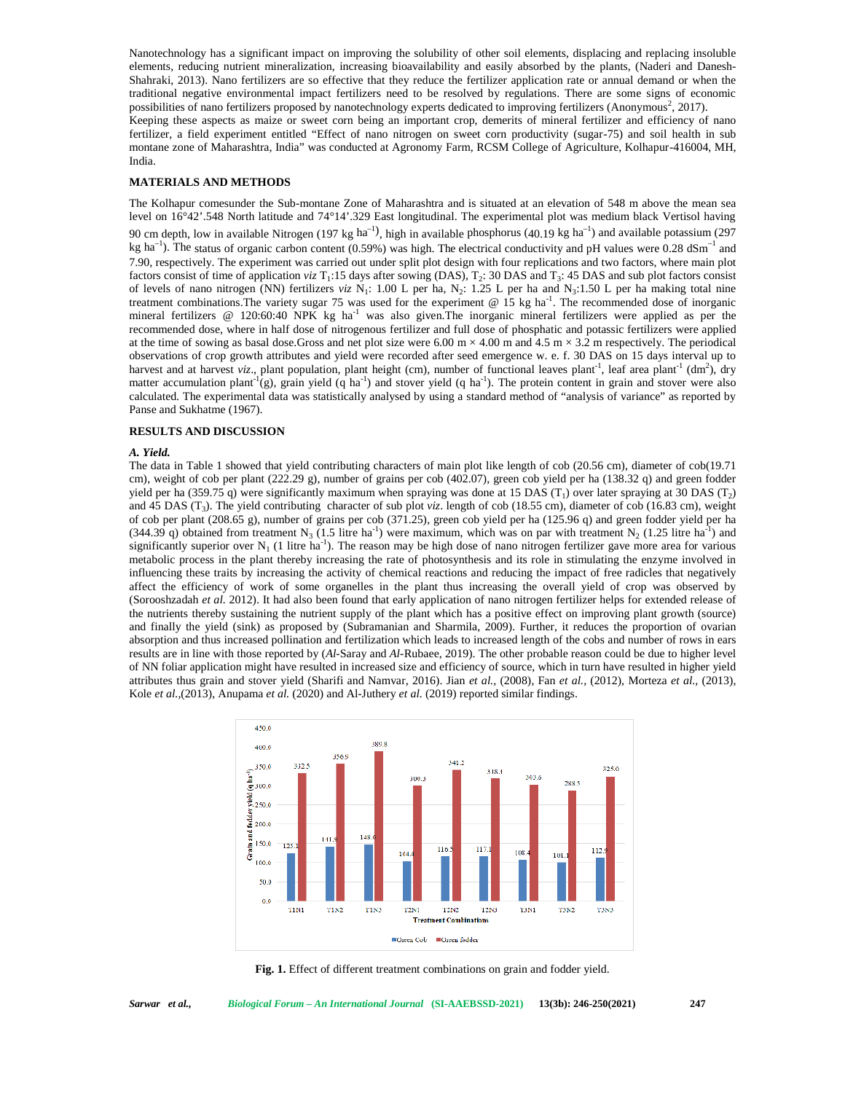Nanotechnology has a significant impact on improving the solubility of other soil elements, displacing and replacing insoluble elements, reducing nutrient mineralization, increasing bioavailability and easily absorbed by the plants, (Naderi and Danesh- Shahraki, 2013). Nano fertilizers are so effective that they reduce the fertilizer application rate or annual demand or when the traditional negative environmental impact fertilizers need to be resolved by regulations. There are some signs of economic possibilities of nano fertilizers proposed by nanotechnology experts dedicated to improving fertilizers (Anonymous<sup>2</sup>, 2017). Keeping these aspects as maize or sweet corn being an important crop, demerits of mineral fertilizer and efficiency of nano fertilizer, a field experiment entitled "Effect of nano nitrogen on sweet corn productivity (sugar-75) and soil health in sub montane zone of Maharashtra, India" was conducted at Agronomy Farm, RCSM College of Agriculture, Kolhapur-416004, MH, India.

# **MATERIALS AND METHODS**

The Kolhapur comesunder the Sub-montane Zone of Maharashtra and is situated at an elevation of 548 m above the mean sea level on 16°42'.548 North latitude and 74°14'.329 East longitudinal. The experimental plot was medium black Vertisol having 90 cm depth, low in available Nitrogen (197 kg  $\text{ha}^{-1}$ ), high in available phosphorus (40.19 kg ha<sup>-1</sup>) and available potassium (297 kg ha<sup>-1</sup>). The status of organic carbon content (0.59%) was high. The electrical conductivity and pH values were 0.28 dSm<sup>-1</sup> and 7.90, respectively. The experiment was carried out under split plot design with four replications and two factors, where main plot factors consist of time of application  $viz T_1:15$  days after sowing (DAS),  $T_2: 30$  DAS and  $T_3: 45$  DAS and sub plot factors consist of levels of nano nitrogen (NN) fertilizers *viz* N<sub>1</sub>: 1.00 L per ha, N<sub>2</sub>: 1.25 L per ha and N<sub>3</sub>:1.50 L per ha making total nine treatment combinations. The variety sugar 75 was used for the experiment  $\omega$  15 kg ha<sup>-1</sup>. The recommended dose of inorganic mineral fertilizers  $@ 120:60:40$  NPK kg ha<sup>-1</sup> was also given. The inorganic mineral fertilizers were applied as per the recommended dose, where in half dose of nitrogenous fertilizer and full dose of phosphatic and potassic fertilizers were applied at the time of sowing as basal dose.Gross and net plot size were 6.00 m  $\times$  4.00 m and 4.5 m  $\times$  3.2 m respectively. The periodical observations of crop growth attributes and yield were recorded after seed emergence w. e. f. 30 DAS on 15 days interval up to harvest and at harvest *viz*., plant population, plant height (cm), number of functional leaves plant<sup>-1</sup>, leaf area plant<sup>-1</sup> (dm<sup>2</sup>), dry matter accumulation plant<sup>-1</sup>(g), grain yield (q ha<sup>-1</sup>) and stover yield (q ha<sup>-1</sup>). The protein content in grain and stover were also calculated. The experimental data was statistically analysed by using a standard method of "analysis of variance" as reported by Panse and Sukhatme (1967).

### **RESULTS AND DISCUSSION**

#### *A. Yield.*

The data in Table 1 showed that yield contributing characters of main plot like length of cob (20.56 cm), diameter of cob(19.71 cm), weight of cob per plant (222.29 g), number of grains per cob (402.07), green cob yield per ha (138.32 q) and green fodder yield per ha (359.75 q) were significantly maximum when spraying was done at 15 DAS  $(T_1)$  over later spraying at 30 DAS  $(T_2)$ and 45 DAS (T<sup>3</sup> ). The yield contributing character of sub plot *viz*. length of cob (18.55 cm), diameter of cob (16.83 cm), weight of cob per plant (208.65 g), number of grains per cob (371.25), green cob yield per ha (125.96 q) and green fodder yield per ha (344.39 q) obtained from treatment N<sub>3</sub> (1.5 litre ha<sup>-1</sup>) were maximum, which was on par with treatment N<sub>2</sub> (1.25 litre ha<sup>-1</sup>) and significantly superior over  $N_1$  (1 litre ha<sup>-1</sup>). The reason may be high dose of nano nitrogen fertilizer gave more area for various metabolic process in the plant thereby increasing the rate of photosynthesis and its role in stimulating the enzyme involved in influencing these traits by increasing the activity of chemical reactions and reducing the impact of free radicles that negatively affect the efficiency of work of some organelles in the plant thus increasing the overall yield of crop was observed by (Sorooshzadah *et al.* 2012). It had also been found that early application of nano nitrogen fertilizer helps for extended release of the nutrients thereby sustaining the nutrient supply of the plant which has a positive effect on improving plant growth (source) and finally the yield (sink) as proposed by (Subramanian and Sharmila, 2009). Further, it reduces the proportion of ovarian absorption and thus increased pollination and fertilization which leads to increased length of the cobs and number of rows in ears results are in line with those reported by (*Al*-Saray and *Al*-Rubaee, 2019). The other probable reason could be due to higher level of NN foliar application might have resulted in increased size and efficiency of source, which in turn have resulted in higher yield attributes thus grain and stover yield (Sharifi and Namvar, 2016). Jian *et al.,* (2008), Fan *et al.,* (2012), Morteza *et al.,* (2013), Kole *et al.,*(2013), Anupama *et al.* (2020) and Al-Juthery *et al.* (2019) reported similar findings.



**Fig. 1.** Effect of different treatment combinations on grain and fodder yield.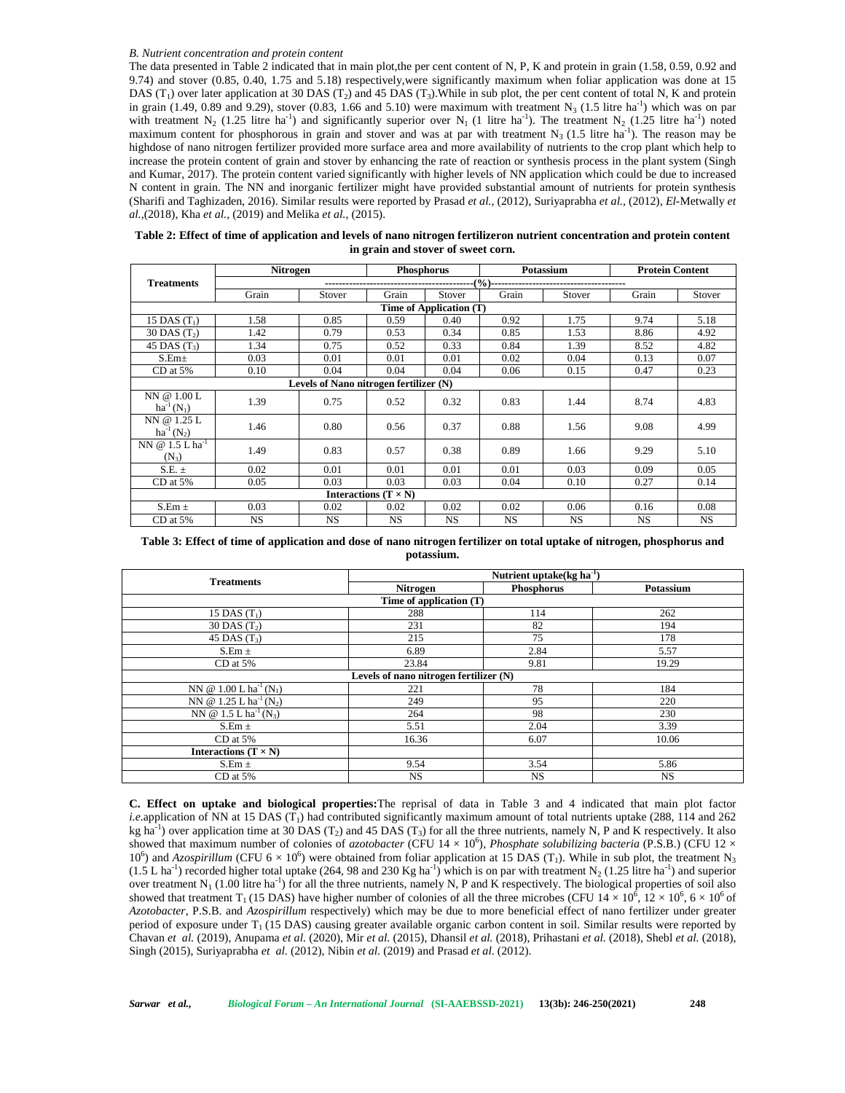#### *B. Nutrient concentration and protein content*

The data presented in Table 2 indicated that in main plot,the per cent content of N, P, K and protein in grain (1.58, 0.59, 0.92 and 9.74) and stover (0.85, 0.40, 1.75 and 5.18) respectively,were significantly maximum when foliar application was done at 15 DAS  $(T_1)$  over later application at 30 DAS  $(T_2)$  and 45 DAS  $(T_3)$ . While in sub plot, the per cent content of total N, K and protein in grain  $(1.49, 0.89 \text{ and } 9.29)$ , stover  $(0.83, 1.66 \text{ and } 5.10)$  were maximum with treatment N<sub>3</sub>  $(1.5 \text{ litre ha}^{-1})$  which was on par with treatment N<sub>2</sub> (1.25 litre ha<sup>-1</sup>) and significantly superior over N<sub>1</sub> (1 litre ha<sup>-1</sup>). The treatment N<sub>2</sub> (1.25 litre ha<sup>-1</sup>) noted maximum content for phosphorous in grain and stover and was at par with treatment  $N_3$  (1.5 litre ha<sup>-1</sup>). The reason may be highdose of nano nitrogen fertilizer provided more surface area and more availability of nutrients to the crop plant which help to increase the protein content of grain and stover by enhancing the rate of reaction or synthesis process in the plant system (Singh and Kumar, 2017). The protein content varied significantly with higher levels of NN application which could be due to increased N content in grain. The NN and inorganic fertilizer might have provided substantial amount of nutrients for protein synthesis (Sharifi and Taghizaden, 2016). Similar results were reported by Prasad *et al.,* (2012), Suriyaprabha *et al.,* (2012), *El*-Metwally *et al.,*(2018), Kha *et al.,* (2019) and Melika *et al.,* (2015).

| Table 2: Effect of time of application and levels of nano nitrogen fertilizeron nutrient concentration and protein content |
|----------------------------------------------------------------------------------------------------------------------------|
| in grain and stover of sweet corn.                                                                                         |

|                                        | <b>Nitrogen</b> |                                        | <b>Phosphorus</b>           |                         | Potassium |           | <b>Protein Content</b> |           |
|----------------------------------------|-----------------|----------------------------------------|-----------------------------|-------------------------|-----------|-----------|------------------------|-----------|
| <b>Treatments</b>                      |                 |                                        |                             |                         |           |           |                        |           |
|                                        | Grain           | Stover                                 | Grain                       | Stover                  | Grain     | Stover    | Grain                  | Stover    |
|                                        |                 |                                        |                             | Time of Application (T) |           |           |                        |           |
| 15 DAS $(T_1)$                         | 1.58            | 0.85                                   | 0.59                        | 0.40                    | 0.92      | 1.75      | 9.74                   | 5.18      |
| $30$ DAS $(T2)$                        | 1.42            | 0.79                                   | 0.53                        | 0.34                    | 0.85      | 1.53      | 8.86                   | 4.92      |
| 45 DAS $(T_3)$                         | 1.34            | 0.75                                   | 0.52                        | 0.33                    | 0.84      | 1.39      | 8.52                   | 4.82      |
| S.Em <sub>±</sub>                      | 0.03            | 0.01                                   | 0.01                        | 0.01                    | 0.02      | 0.04      | 0.13                   | 0.07      |
| $CD$ at $5\%$                          | 0.10            | 0.04                                   | 0.04                        | 0.04                    | 0.06      | 0.15      | 0.47                   | 0.23      |
|                                        |                 | Levels of Nano nitrogen fertilizer (N) |                             |                         |           |           |                        |           |
| NN @ 1.00 L<br>$ha^{-1}(N_1)$          | 1.39            | 0.75                                   | 0.52                        | 0.32                    | 0.83      | 1.44      | 8.74                   | 4.83      |
| NN @ 1.25 L<br>$ha^{-1}(N_2)$          | 1.46            | 0.80                                   | 0.56                        | 0.37                    | 0.88      | 1.56      | 9.08                   | 4.99      |
| NN @ 1.5 L ha <sup>-1</sup><br>$(N_3)$ | 1.49            | 0.83                                   | 0.57                        | 0.38                    | 0.89      | 1.66      | 9.29                   | 5.10      |
| $S.E. \pm$                             | 0.02            | 0.01                                   | 0.01                        | 0.01                    | 0.01      | 0.03      | 0.09                   | 0.05      |
| $CD$ at $5%$                           | 0.05            | 0.03                                   | 0.03                        | 0.03                    | 0.04      | 0.10      | 0.27                   | 0.14      |
|                                        |                 |                                        | Interactions $(T \times N)$ |                         |           |           |                        |           |
| $S.Em \pm$                             | 0.03            | 0.02                                   | 0.02                        | 0.02                    | 0.02      | 0.06      | 0.16                   | 0.08      |
| $CD$ at 5%                             | <b>NS</b>       | NS.                                    | NS.                         | NS                      | <b>NS</b> | <b>NS</b> | <b>NS</b>              | <b>NS</b> |

**Table 3: Effect of time of application and dose of nano nitrogen fertilizer on total uptake of nitrogen, phosphorus and potassium.**

|                                                | Nutrient uptake( $kg \, ha^{-1}$ )     |           |           |  |  |
|------------------------------------------------|----------------------------------------|-----------|-----------|--|--|
| <b>Treatments</b>                              | Phosphorus<br>Nitrogen                 |           | Potassium |  |  |
|                                                | Time of application (T)                |           |           |  |  |
| 15 DAS $(T_1)$                                 | 288                                    | 114       | 262       |  |  |
| $30$ DAS $(T2)$                                | 231                                    | 82        | 194       |  |  |
| 45 DAS $(T_3)$                                 | 215                                    | 75        | 178       |  |  |
| $S.Em \pm$                                     | 6.89                                   | 2.84      | 5.57      |  |  |
| CD at 5%                                       | 23.84                                  | 9.81      | 19.29     |  |  |
|                                                | Levels of nano nitrogen fertilizer (N) |           |           |  |  |
| NN @ $1.00 L ha^{-1}(N_1)$                     | 221                                    | 78        | 184       |  |  |
| NN @ 1.25 L ha <sup>-1</sup> (N <sub>2</sub> ) | 249                                    | 95        | 220       |  |  |
| NN @ 1.5 L ha <sup>-1</sup> (N <sub>3</sub> )  | 264                                    | 98        | 230       |  |  |
| $S.Em \pm$                                     | 5.51                                   | 2.04      | 3.39      |  |  |
| $CD$ at $5\%$                                  | 16.36                                  | 6.07      | 10.06     |  |  |
| Interactions $(T \times N)$                    |                                        |           |           |  |  |
| $S.Em \pm$                                     | 9.54                                   | 3.54      | 5.86      |  |  |
| CD at 5%                                       | <b>NS</b>                              | <b>NS</b> | <b>NS</b> |  |  |

**C. Effect on uptake and biological properties:**The reprisal of data in Table 3 and 4 indicated that main plot factor *i.e.*application of NN at 15 DAS (T<sub>1</sub>) had contributed significantly maximum amount of total nutrients uptake (288, 114 and 262 kg ha<sup>-1</sup>) over application time at 30 DAS (T<sub>2</sub>) and 45 DAS (T<sub>3</sub>) for all the three nutrients, namely N, P and K respectively. It also showed that maximum number of colonies of *azotobacter* (CFU  $14 \times 10^6$ ), *Phosphate solubilizing bacteria* (P.S.B.) (CFU  $12 \times$ 10<sup>6</sup>) and *Azospirillum* (CFU 6  $\times$  10<sup>6</sup>) were obtained from foliar application at 15 DAS (T<sub>1</sub>). While in sub plot, the treatment N<sub>3</sub>  $(1.5 L$  ha<sup>-1</sup>) recorded higher total uptake (264, 98 and 230 Kg ha<sup>-1</sup>) which is on par with treatment N<sub>2</sub> (1.25 litre ha<sup>-1</sup>) and superior over treatment  $N_1$  (1.00 litre ha<sup>-1</sup>) for all the three nutrients, namely N, P and K respectively. The biological properties of soil also showed that treatment T<sub>1</sub> (15 DAS) have higher number of colonies of all the three microbes (CFU 14  $\times$  10<sup>6</sup>, 12  $\times$  10<sup>6</sup>, 6  $\times$  10<sup>6</sup> of *Azotobacter*, P.S.B. and *Azospirillum* respectively) which may be due to more beneficial effect of nano fertilizer under greater period of exposure under T<sub>1</sub> (15 DAS) causing greater available organic carbon content in soil. Similar results were reported by Chavan *et al.* (2019), Anupama *et al.* (2020), Mir *et al.* (2015), Dhansil *et al.* (2018), Prihastani *et al.* (2018), Shebl *et al.* (2018), Singh (2015), Suriyaprabha *et al.* (2012), Nibin *et al.* (2019) and Prasad *et al.* (2012).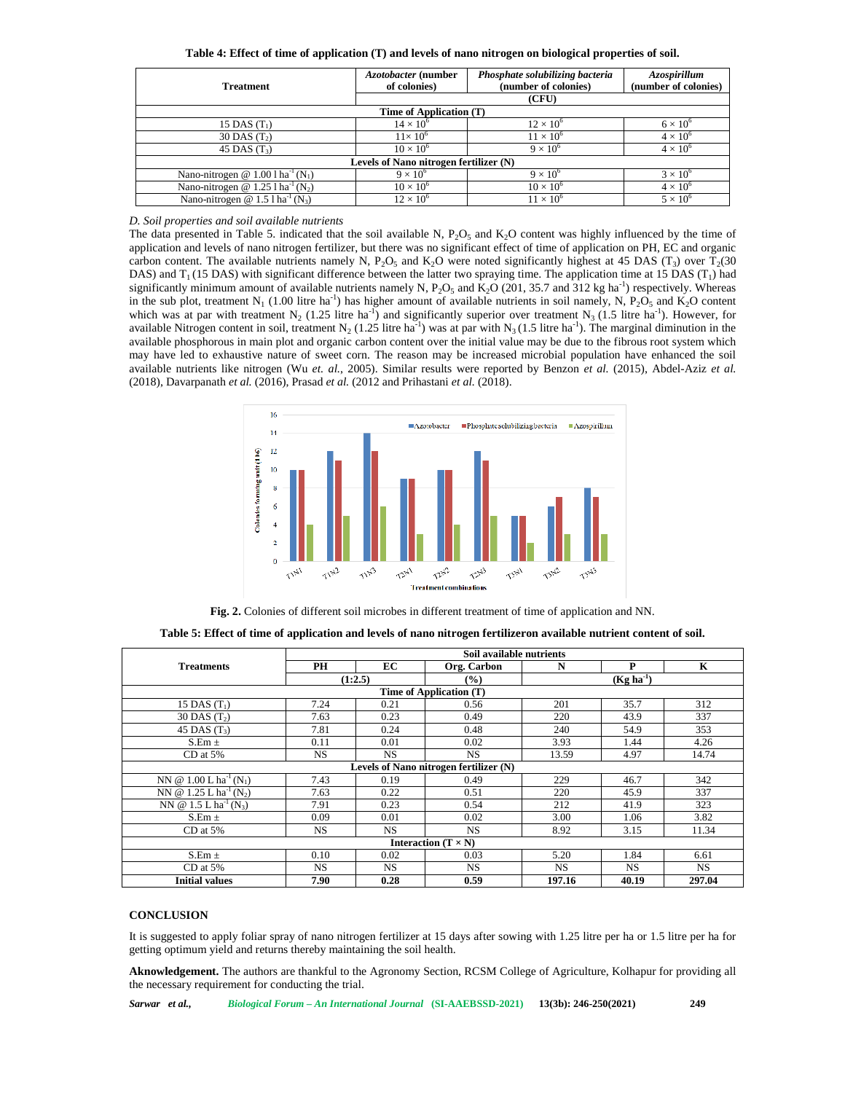| <b>Treatment</b>                                            | Azotobacter (number<br>of colonies)    | Phosphate solubilizing bacteria<br>(number of colonies) | Azospirillum<br>(number of colonies) |  |  |  |  |
|-------------------------------------------------------------|----------------------------------------|---------------------------------------------------------|--------------------------------------|--|--|--|--|
|                                                             |                                        | (CFU)                                                   |                                      |  |  |  |  |
| Time of Application (T)                                     |                                        |                                                         |                                      |  |  |  |  |
| 15 DAS $(T_1)$                                              | $14 \times 10^{6}$                     | $12 \times 10^6$                                        | $6 \times 10^{6}$                    |  |  |  |  |
| 30 DAS $(T_2)$                                              | $11\times10^{6}$                       | $11 \times 10^6$                                        | $4 \times 10^{6}$                    |  |  |  |  |
| 45 DAS $(T_3)$                                              | $10 \times 10^{6}$                     | $9 \times 10^6$                                         | $4 \times 10^{6}$                    |  |  |  |  |
|                                                             | Levels of Nano nitrogen fertilizer (N) |                                                         |                                      |  |  |  |  |
| Nano-nitrogen @ $1.001$ ha <sup>-1</sup> (N <sub>1</sub> )  | $9 \times 10^6$                        | $9 \times 10^6$                                         | $3 \times 10^{6}$                    |  |  |  |  |
| Nano-nitrogen @ $1.25$ l ha <sup>-1</sup> (N <sub>2</sub> ) | $10 \times 10^{6}$                     | $10 \times 10^{6}$                                      | $4 \times 10^{6}$                    |  |  |  |  |
| Nano-nitrogen @ $1.5$ l ha <sup>-1</sup> (N <sub>3</sub> )  | $12 \times 10^6$                       | $11 \times 10^{6}$                                      | $5 \times 10^6$                      |  |  |  |  |

**Table 4: Effect of time of application (T) and levels of nano nitrogen on biological properties of soil.**

*D. Soil properties and soil available nutrients*

The data presented in Table 5. indicated that the soil available N,  $P_2O_5$  and  $K_2O$  content was highly influenced by the time of application and levels of nano nitrogen fertilizer, but there was no significant effect of time of application on PH, EC and organic carbon content. The available nutrients namely N,  $P_2O_5$  and  $K_2O$  were noted significantly highest at 45 DAS (T<sub>3</sub>) over T<sub>2</sub>(30 DAS) and  $T_1$  (15 DAS) with significant difference between the latter two spraying time. The application time at 15 DAS ( $T_1$ ) had significantly minimum amount of available nutrients namely N,  $P_2O_5$  and  $K_2O$  (201, 35.7 and 312 kg ha<sup>-1</sup>) respectively. Whereas in the sub plot, treatment N<sub>1</sub> (1.00 litre ha<sup>-1</sup>) has higher amount of available nutrients in soil namely, N, P<sub>2</sub>O<sub>5</sub> and K<sub>2</sub>O content which was at par with treatment  $N_2$  (1.25 litre ha<sup>-1</sup>) and significantly superior over treatment  $N_3$  (1.5 litre ha<sup>-1</sup>). However, for available Nitrogen content in soil, treatment N<sub>2</sub> (1.25 litre ha<sup>-1</sup>) was at par with N<sub>3</sub> (1.5 litre ha<sup>-1</sup>). The marginal diminution in the available phosphorous in main plot and organic carbon content over the initial value may be due to the fibrous root system which may have led to exhaustive nature of sweet corn. The reason may be increased microbial population have enhanced the soil available nutrients like nitrogen (Wu *et. al.*, 2005). Similar results were reported by Benzon *et al.* (2015), Abdel-Aziz *et al.* (2018), Davarpanath *et al.* (2016), Prasad *et al.* (2012 and Prihastani *et al.* (2018).



**Fig. 2.** Colonies of different soil microbes in different treatment of time of application and NN.

|                                                | Soil available nutrients |           |                                        |             |           |           |
|------------------------------------------------|--------------------------|-----------|----------------------------------------|-------------|-----------|-----------|
| <b>Treatments</b>                              | PH                       | EC        | Org. Carbon                            | N           | P         | K         |
|                                                | (1:2.5)                  |           | $\frac{9}{6}$                          | $(Kg ha-1)$ |           |           |
|                                                |                          |           | Time of Application (T)                |             |           |           |
| 15 DAS $(T_1)$                                 | 7.24                     | 0.21      | 0.56                                   | 201         | 35.7      | 312       |
| 30 DAS $(T2)$                                  | 7.63                     | 0.23      | 0.49                                   | 220         | 43.9      | 337       |
| $\overline{45}$ DAS $(T_3)$                    | 7.81                     | 0.24      | 0.48                                   | 240         | 54.9      | 353       |
| $S.Em \pm$                                     | 0.11                     | 0.01      | 0.02                                   | 3.93        | 1.44      | 4.26      |
| $CD$ at $5%$                                   | <b>NS</b>                | <b>NS</b> | <b>NS</b>                              | 13.59       | 4.97      | 14.74     |
|                                                |                          |           | Levels of Nano nitrogen fertilizer (N) |             |           |           |
| NN @ 1.00 L ha <sup>-1</sup> (N <sub>1</sub> ) | 7.43                     | 0.19      | 0.49                                   | 229         | 46.7      | 342       |
| NN @ 1.25 L ha <sup>-1</sup> (N <sub>2</sub> ) | 7.63                     | 0.22      | 0.51                                   | 220         | 45.9      | 337       |
| NN @ 1.5 L ha <sup>-1</sup> (N <sub>3</sub> )  | 7.91                     | 0.23      | 0.54                                   | 212         | 41.9      | 323       |
| $S.Em \pm$                                     | 0.09                     | 0.01      | 0.02                                   | 3.00        | 1.06      | 3.82      |
| $CD$ at 5%                                     | <b>NS</b>                | <b>NS</b> | <b>NS</b>                              | 8.92        | 3.15      | 11.34     |
|                                                |                          |           | Interaction $(T \times N)$             |             |           |           |
| $S.Em \pm$                                     | 0.10                     | 0.02      | 0.03                                   | 5.20        | 1.84      | 6.61      |
| $CD$ at $5%$                                   | <b>NS</b>                | <b>NS</b> | <b>NS</b>                              | <b>NS</b>   | <b>NS</b> | <b>NS</b> |
| <b>Initial values</b>                          | 7.90                     | 0.28      | 0.59                                   | 197.16      | 40.19     | 297.04    |

**Table 5: Effect of time of application and levels of nano nitrogen fertilizeron available nutrient content of soil.**

# **CONCLUSION**

It is suggested to apply foliar spray of nano nitrogen fertilizer at 15 days after sowing with 1.25 litre per ha or 1.5 litre per ha for getting optimum yield and returns thereby maintaining the soil health.

**Aknowledgement.** The authors are thankful to the Agronomy Section, RCSM College of Agriculture, Kolhapur for providing all the necessary requirement for conducting the trial.

*Sarwar et al., Biological Forum – An International Journal* **(SI-AAEBSSD-2021) 13(3b): 246-250(2021) 249**